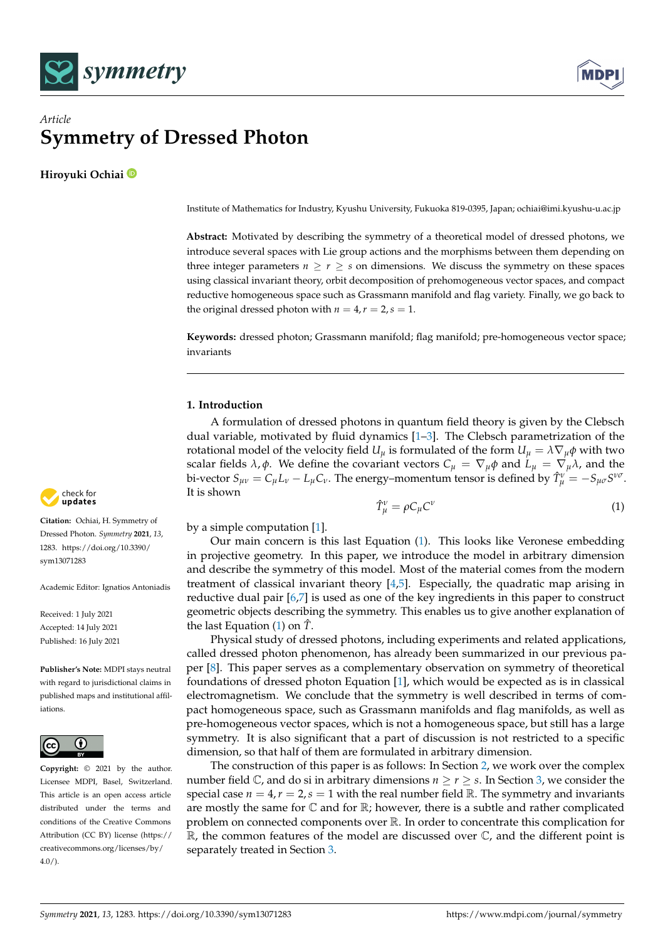



# *Article* **Symmetry of Dressed Photon**

**Hiroyuki Ochiai**

Institute of Mathematics for Industry, Kyushu University, Fukuoka 819-0395, Japan; ochiai@imi.kyushu-u.ac.jp

**Abstract:** Motivated by describing the symmetry of a theoretical model of dressed photons, we introduce several spaces with Lie group actions and the morphisms between them depending on three integer parameters  $n > r > s$  on dimensions. We discuss the symmetry on these spaces using classical invariant theory, orbit decomposition of prehomogeneous vector spaces, and compact reductive homogeneous space such as Grassmann manifold and flag variety. Finally, we go back to the original dressed photon with  $n = 4$ ,  $r = 2$ ,  $s = 1$ .

**Keywords:** dressed photon; Grassmann manifold; flag manifold; pre-homogeneous vector space; invariants

## **1. Introduction**

A formulation of dressed photons in quantum field theory is given by the Clebsch dual variable, motivated by fluid dynamics [\[1](#page-6-0)[–3\]](#page-6-1). The Clebsch parametrization of the rotational model of the velocity field  $U_\mu$  is formulated of the form  $U_\mu = \lambda \nabla_\mu \phi$  with two scalar fields  $λ, φ$ . We define the covariant vectors  $C<sub>µ</sub> = \nabla_{\mu} φ$  and  $L<sub>µ</sub> = \nabla_{\mu} λ$ , and the bi-vector  $S_{\mu\nu} = C_{\mu}L_{\nu} - L_{\mu}C_{\nu}$ . The energy–momentum tensor is defined by  $\hat{T}^{\nu}_{\mu} = -S_{\mu\sigma}S^{\nu\sigma}$ . It is shown

<span id="page-0-0"></span>
$$
\hat{T}^{\nu}_{\mu} = \rho C_{\mu} C^{\nu} \tag{1}
$$

by a simple computation [\[1\]](#page-6-0).

Our main concern is this last Equation [\(1\)](#page-0-0). This looks like Veronese embedding in projective geometry. In this paper, we introduce the model in arbitrary dimension and describe the symmetry of this model. Most of the material comes from the modern treatment of classical invariant theory [\[4,](#page-6-2)[5\]](#page-7-0). Especially, the quadratic map arising in reductive dual pair [\[6,](#page-7-1)[7\]](#page-7-2) is used as one of the key ingredients in this paper to construct geometric objects describing the symmetry. This enables us to give another explanation of the last Equation [\(1\)](#page-0-0) on *T*ˆ.

Physical study of dressed photons, including experiments and related applications, called dressed photon phenomenon, has already been summarized in our previous paper [\[8\]](#page-7-3). This paper serves as a complementary observation on symmetry of theoretical foundations of dressed photon Equation [\[1\]](#page-6-0), which would be expected as is in classical electromagnetism. We conclude that the symmetry is well described in terms of compact homogeneous space, such as Grassmann manifolds and flag manifolds, as well as pre-homogeneous vector spaces, which is not a homogeneous space, but still has a large symmetry. It is also significant that a part of discussion is not restricted to a specific dimension, so that half of them are formulated in arbitrary dimension.

The construction of this paper is as follows: In Section [2,](#page-1-0) we work over the complex number field  $\mathbb{C}$ , and do si in arbitrary dimensions  $n \geq r \geq s$ . In Section [3,](#page-3-0) we consider the special case  $n = 4$ ,  $r = 2$ ,  $s = 1$  with the real number field R. The symmetry and invariants are mostly the same for  $\mathbb C$  and for  $\mathbb R$ ; however, there is a subtle and rather complicated problem on connected components over R. In order to concentrate this complication for  $\mathbb R$ , the common features of the model are discussed over  $\mathbb C$ , and the different point is separately treated in Section [3.](#page-3-0)



**Citation:** Ochiai, H. Symmetry of Dressed Photon. *Symmetry* **2021**, *13*, 1283. [https://doi.org/10.3390/](https://doi.org/10.3390/sym13071283) [sym13071283](https://doi.org/10.3390/sym13071283)

Academic Editor: Ignatios Antoniadis

Received: 1 July 2021 Accepted: 14 July 2021 Published: 16 July 2021

**Publisher's Note:** MDPI stays neutral with regard to jurisdictional claims in published maps and institutional affiliations.



**Copyright:** © 2021 by the author. Licensee MDPI, Basel, Switzerland. This article is an open access article distributed under the terms and conditions of the Creative Commons Attribution (CC BY) license (https:/[/](https://creativecommons.org/licenses/by/4.0/) [creativecommons.org/licenses/by/](https://creativecommons.org/licenses/by/4.0/)  $4.0/$ ).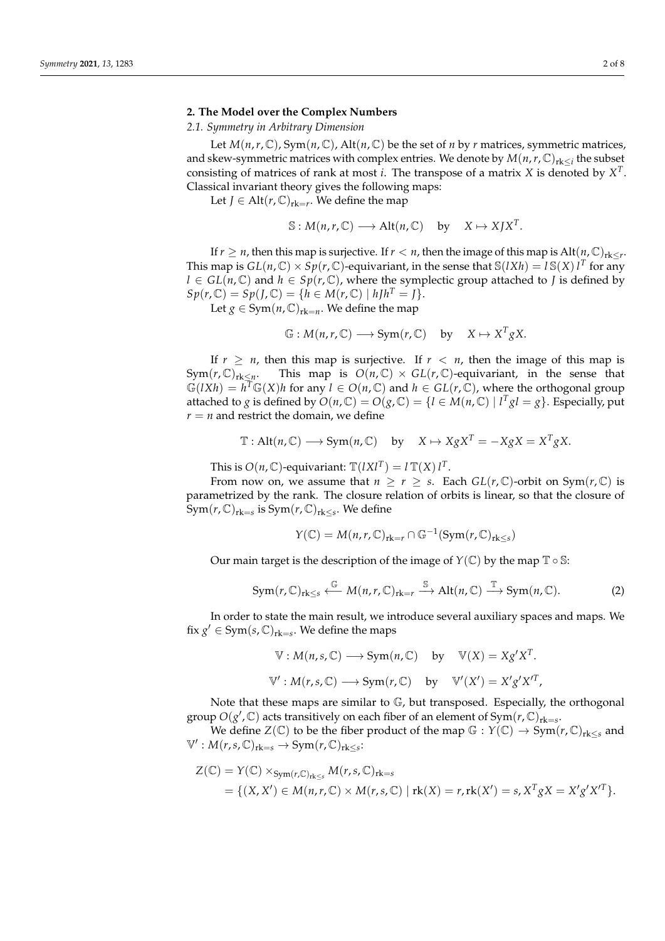#### <span id="page-1-0"></span>**2. The Model over the Complex Numbers**

### *2.1. Symmetry in Arbitrary Dimension*

Let  $M(n,r,\mathbb{C})$ , Sym $(n,\mathbb{C})$ , Alt $(n,\mathbb{C})$  be the set of *n* by *r* matrices, symmetric matrices, and skew-symmetric matrices with complex entries. We denote by  $M(n,r,\mathbb{C})_{rk\leq i}$  the subset consisting of matrices of rank at most *i*. The transpose of a matrix *X* is denoted by *X T* . Classical invariant theory gives the following maps:

Let *J*  $\in$  Alt $(r, \mathbb{C})$ <sub>rk=r</sub>. We define the map

$$
\mathbb{S}: M(n,r,\mathbb{C}) \longrightarrow Alt(n,\mathbb{C}) \text{ by } X \mapsto XJX^{T}.
$$

If  $r \geq n$ , then this map is surjective. If  $r < n$ , then the image of this map is  $\text{Alt}(n, \mathbb{C})_{\text{rk} \leq r}$ . This map is  $GL(n,\mathbb{C}) \times Sp(r,\mathbb{C})$ -equivariant, in the sense that  $\mathbb{S}(lXh) = l \mathbb{S}(X) l^T$  for any *l* ∈ *GL*( $n$ ,  $\mathbb{C}$ ) and  $h \in Sp(r, \mathbb{C})$ , where the symplectic group attached to *J* is defined by  $Sp(r, \mathbb{C}) = Sp(J, \mathbb{C}) = \{h \in M(r, \mathbb{C}) \mid hJh^{T} = J\}.$ 

Let  $g \in Sym(n, \mathbb{C})_{rk=n}$ . We define the map

$$
\mathbb{G}: M(n,r,\mathbb{C}) \longrightarrow \text{Sym}(r,\mathbb{C}) \quad \text{by} \quad X \mapsto X^T g X.
$$

If  $r \geq n$ , then this map is surjective. If  $r < n$ , then the image of this map is  $Sym(r, \mathbb{C})_{rk \leq n}$ . This map is  $O(n, \mathbb{C}) \times GL(r, \mathbb{C})$ -equivariant, in the sense that  $\mathbb{G}(lXh) = h^T \mathbb{G}(X)h$  for any  $l \in O(n, \mathbb{C})$  and  $h \in GL(r, \mathbb{C})$ , where the orthogonal group attached to *g* is defined by  $O(n, \mathbb{C}) = O(g, \mathbb{C}) = \{l \in M(n, \mathbb{C}) \mid l^Tgl = g\}$ . Especially, put  $r = n$  and restrict the domain, we define

$$
\mathbb{T}: \text{Alt}(n, \mathbb{C}) \longrightarrow \text{Sym}(n, \mathbb{C}) \quad \text{by} \quad X \mapsto XgX^{T} = -XgX = X^{T}gX.
$$

This is  $O(n, \mathbb{C})$ -equivariant:  $\mathbb{T}(lXl^T) = l \mathbb{T}(X) l^T$ .

From now on, we assume that  $n \geq r \geq s$ . Each  $GL(r, \mathbb{C})$ -orbit on Sym $(r, \mathbb{C})$  is parametrized by the rank. The closure relation of orbits is linear, so that the closure of  $\mathrm{Sym}(r,\mathbb{C})_{\mathrm{rk}=s}$  is  $\mathrm{Sym}(r,\mathbb{C})_{\mathrm{rk}\leq s}.$  We define

$$
Y(\mathbb{C}) = M(n,r,\mathbb{C})_{rk=r} \cap \mathbb{G}^{-1}(\text{Sym}(r,\mathbb{C})_{rk\leq s})
$$

Our main target is the description of the image of  $Y(\mathbb{C})$  by the map  $\mathbb{T} \circ \mathbb{S}$ :

$$
\operatorname{Sym}(r, \mathbb{C})_{\operatorname{rk}\leq s} \stackrel{\mathbb{G}}{\longleftarrow} M(n, r, \mathbb{C})_{\operatorname{rk}=r} \stackrel{\mathbb{S}}{\longrightarrow} \operatorname{Alt}(n, \mathbb{C}) \stackrel{\mathbb{T}}{\longrightarrow} \operatorname{Sym}(n, \mathbb{C}).
$$
 (2)

In order to state the main result, we introduce several auxiliary spaces and maps. We fix  $g' \in Sym(s, \mathbb{C})_{rk=s}$ . We define the maps

$$
\mathbb{V}: M(n, s, \mathbb{C}) \longrightarrow \text{Sym}(n, \mathbb{C}) \quad \text{by} \quad \mathbb{V}(X) = Xg'X^{T}.
$$
  

$$
\mathbb{V}': M(r, s, \mathbb{C}) \longrightarrow \text{Sym}(r, \mathbb{C}) \quad \text{by} \quad \mathbb{V}'(X') = X'g'X'^{T},
$$

Note that these maps are similar to  $\mathbb{G}$ , but transposed. Especially, the orthogonal group  $O(g', \mathbb{C})$  acts transitively on each fiber of an element of  $Sym(r, \mathbb{C})_{rk=s}$ .

We define *Z*( $\mathbb{C}$ ) to be the fiber product of the map  $\mathbb{G}: Y(\mathbb{C}) \to \text{Sym}(r, \mathbb{C})_{rk \leq s}$  and  $\mathbb{V}' : M(r, s, \mathbb{C})_{rk=s} \to \text{Sym}(r, \mathbb{C})_{rk\leq s}:$ 

$$
Z(\mathbb{C}) = Y(\mathbb{C}) \times_{Sym(r,\mathbb{C})_{rk \leq s}} M(r,s,\mathbb{C})_{rk=s}
$$
  
= { $(X,X') \in M(n,r,\mathbb{C}) \times M(r,s,\mathbb{C}) | rk(X) = r, rk(X') = s, X^T g X = X' g' X'^T$  }.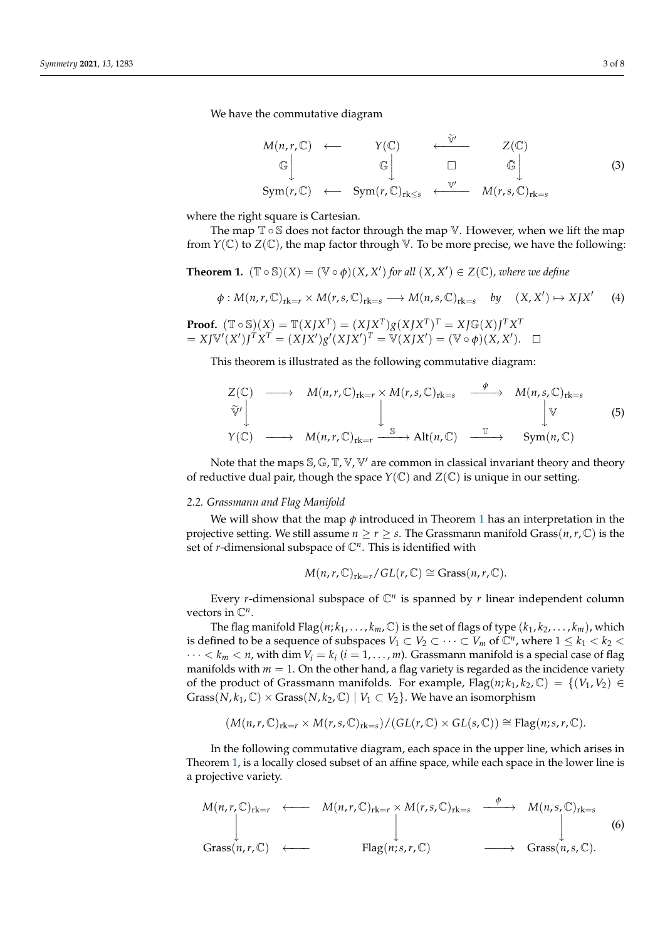We have the commutative diagram

<span id="page-2-1"></span>
$$
M(n,r,\mathbb{C}) \leftarrow Y(\mathbb{C}) \leftarrow \mathbb{\tilde{V}}' \qquad Z(\mathbb{C})
$$
  
\n
$$
\mathbb{G} \downarrow \qquad \mathbb{G} \downarrow \qquad \qquad \mathbb{Z}(\mathbb{C})
$$
  
\n
$$
\text{Sym}(r,\mathbb{C}) \leftarrow \text{Sym}(r,\mathbb{C})_{rk\leq s} \leftarrow \mathbb{V}' \qquad M(r,s,\mathbb{C})_{rk=s}
$$
  
\n(3)

where the right square is Cartesian.

The map  $\mathbb{T} \circ \mathbb{S}$  does not factor through the map  $\mathbb{V}$ . However, when we lift the map from  $Y(\mathbb{C})$  to  $Z(\mathbb{C})$ , the map factor through V. To be more precise, we have the following:

<span id="page-2-0"></span>**Theorem 1.**  $(\mathbb{T} \circ \mathbb{S})(X) = (\mathbb{V} \circ \phi)(X, X')$  for all  $(X, X') \in Z(\mathbb{C})$ , where we define

$$
\phi: M(n,r,\mathbb{C})_{rk=r} \times M(r,s,\mathbb{C})_{rk=s} \longrightarrow M(n,s,\mathbb{C})_{rk=s} \quad by \quad (X,X') \mapsto XJX' \tag{4}
$$

**Proof.** 
$$
(\mathbb{T} \circ \mathbb{S})(X) = \mathbb{T}(XJX^T) = (XJX^T)g(XJX^T)^T = XJ\mathbb{G}(X)J^TX^T
$$
  
=  $XJ\mathbb{V}'(X')J^TX^T = (XJX')g'(XJX')^T = \mathbb{V}(XJX') = (\mathbb{V} \circ \phi)(X, X'). \quad \Box$ 

This theorem is illustrated as the following commutative diagram:

$$
Z(\mathbb{C}) \longrightarrow M(n,r,\mathbb{C})_{rk=r} \times M(r,s,\mathbb{C})_{rk=s} \longrightarrow M(n,s,\mathbb{C})_{rk=s}
$$
  
\n
$$
\widetilde{\mathbb{V}}' \downarrow \qquad \qquad \downarrow \qquad \qquad \downarrow \qquad \qquad \mathbb{V}
$$
  
\n
$$
Y(\mathbb{C}) \longrightarrow M(n,r,\mathbb{C})_{rk=r} \xrightarrow{\mathbb{S}} \text{Alt}(n,\mathbb{C}) \xrightarrow{\mathbb{T}} \text{Sym}(n,\mathbb{C})
$$
  
\n(5)

Note that the maps  $\mathcal{S}, \mathbb{G}, \mathbb{T}, \mathbb{V}, \mathbb{V}'$  are common in classical invariant theory and theory of reductive dual pair, though the space  $Y(\mathbb{C})$  and  $Z(\mathbb{C})$  is unique in our setting.

### *2.2. Grassmann and Flag Manifold*

We will show that the map  $\phi$  introduced in Theorem [1](#page-2-0) has an interpretation in the projective setting. We still assume  $n \geq r \geq s$ . The Grassmann manifold Grass $(n, r, \mathbb{C})$  is the set of  $r$ -dimensional subspace of  $\mathbb{C}^n$ . This is identified with

$$
M(n,r,\mathbb{C})_{\mathrm{rk}=r}/GL(r,\mathbb{C})\cong \mathrm{Grass}(n,r,\mathbb{C}).
$$

Every *r*-dimensional subspace of  $\mathbb{C}^n$  is spanned by *r* linear independent column vectors in C*<sup>n</sup>* .

The flag manifold Flag( $n; k_1, \ldots, k_m$ , C) is the set of flags of type ( $k_1, k_2, \ldots, k_m$ ), which is defined to be a sequence of subspaces  $V_1 \subset V_2 \subset \cdots \subset V_m$  of  $\mathbb{C}^n$ , where  $1 \leq k_1 < k_2 < k_1$  $\cdots < k_m < n$ , with dim  $V_i = k_i$  ( $i = 1, \ldots, m$ ). Grassmann manifold is a special case of flag manifolds with  $m = 1$ . On the other hand, a flag variety is regarded as the incidence variety of the product of Grassmann manifolds. For example,  $Flag(n; k_1, k_2, \mathbb{C}) = \{(V_1, V_2) \in$ Grass(*N*,  $k_1$ ,  $\mathbb{C}$ ) × Grass(*N*,  $k_2$ ,  $\mathbb{C}$ ) |  $V_1 \subset V_2$ }. We have an isomorphism

$$
(M(n,r,\mathbb{C})_{rk=r} \times M(r,s,\mathbb{C})_{rk=s})/(GL(r,\mathbb{C}) \times GL(s,\mathbb{C})) \cong Flag(n;s,r,\mathbb{C}).
$$

In the following commutative diagram, each space in the upper line, which arises in Theorem [1,](#page-2-0) is a locally closed subset of an affine space, while each space in the lower line is a projective variety.

$$
M(n,r,\mathbb{C})_{rk=r} \longleftarrow M(n,r,\mathbb{C})_{rk=r} \times M(r,s,\mathbb{C})_{rk=s} \xrightarrow{\phi} M(n,s,\mathbb{C})_{rk=s}
$$
\n
$$
\downarrow \qquad \qquad \downarrow \qquad \qquad (6)
$$
\n
$$
\text{Grass}(n,r,\mathbb{C}) \longleftarrow \text{Flag}(n;s,r,\mathbb{C}) \longrightarrow \text{Grass}(n,s,\mathbb{C}).
$$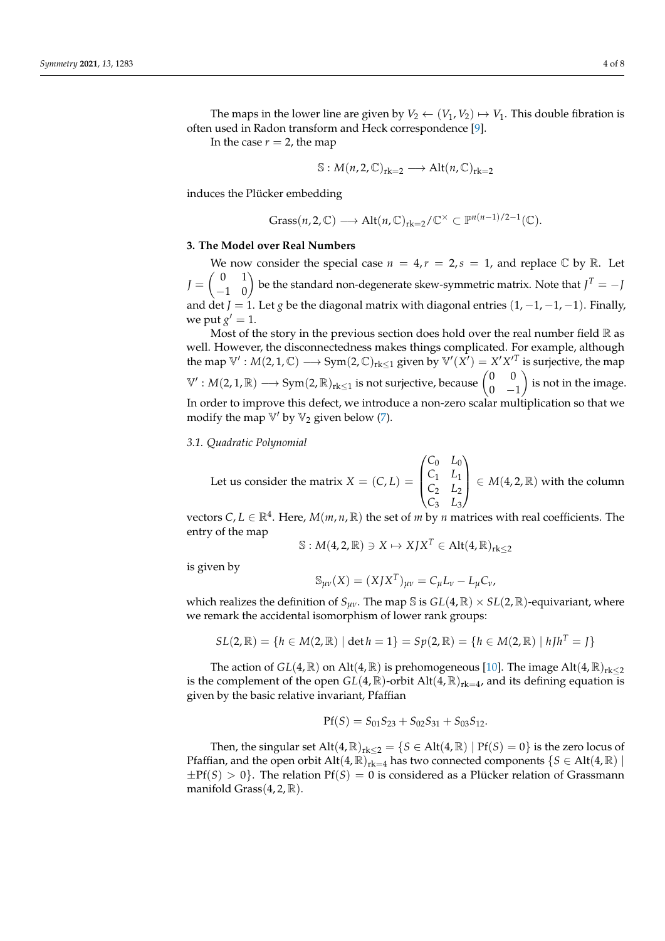The maps in the lower line are given by  $V_2 \leftarrow (V_1, V_2) \mapsto V_1$ . This double fibration is often used in Radon transform and Heck correspondence [\[9\]](#page-7-4).

In the case  $r = 2$ , the map

$$
\mathbb{S}: M(n,2,\mathbb{C})_{rk=2} \longrightarrow Alt(n,\mathbb{C})_{rk=2}
$$

induces the Plücker embedding

$$
\text{Grass}(n,2,\mathbb{C}) \longrightarrow \text{Alt}(n,\mathbb{C})_{\text{rk}=2}/\mathbb{C}^{\times} \subset \mathbb{P}^{n(n-1)/2-1}(\mathbb{C}).
$$

# <span id="page-3-0"></span>**3. The Model over Real Numbers**

We now consider the special case  $n = 4, r = 2, s = 1$ , and replace  $\mathbb{C}$  by  $\mathbb{R}$ . Let  $J = \begin{pmatrix} 0 & 1 \ -1 & 0 \end{pmatrix}$  be the standard non-degenerate skew-symmetric matrix. Note that  $J^T = -J$ and det *J* = 1. Let *g* be the diagonal matrix with diagonal entries  $(1, -1, -1, -1)$ . Finally, we put  $g' = 1$ .

Most of the story in the previous section does hold over the real number field  $\mathbb R$  as well. However, the disconnectedness makes things complicated. For example, although the map  $\mathbb{V}' : M(2, 1, \mathbb{C}) \longrightarrow \text{Sym}(2, \mathbb{C})_{\text{rk}\leq 1}$  given by  $\mathbb{V}'(\tilde{X'}) = X'X'^T$  is surjective, the map  $\mathbb{V}': M(2, 1, \mathbb{R}) \longrightarrow \mathrm{Sym}(2, \mathbb{R})_{\mathrm{rk} \leq 1}$  is not surjective, because  $\begin{pmatrix} 0 & 0 \ 0 & -1 \end{pmatrix}$  $0 -1$  is not in the image. In order to improve this defect, we introduce a non-zero scalar multiplication so that we modify the map  $\mathbb{V}'$  by  $\mathbb{V}_2$  given below [\(7\)](#page-4-0).

#### *3.1. Quadratic Polynomial*

Let us consider the matrix  $X = (C, L)$  $\sqrt{ }$  $\overline{\mathcal{L}}$ *C*<sup>0</sup> *L*<sup>0</sup> *C*<sup>1</sup> *L*<sup>1</sup> *C*<sup>2</sup> *L*<sup>2</sup> *C*<sup>3</sup> *L*<sup>3</sup>  $\setminus$  $\Big\} \in M(4, 2, \mathbb{R})$  with the column

vectors  $C, L \in \mathbb{R}^4$ . Here,  $M(m, n, \mathbb{R})$  the set of *m* by *n* matrices with real coefficients. The entry of the map

$$
\mathbb{S}: M(4,2,\mathbb{R}) \ni X \mapsto XJX^T \in \text{Alt}(4,\mathbb{R})_{\text{rk}\leq 2}
$$

is given by

$$
\mathbb{S}_{\mu\nu}(X) = (XIX^T)_{\mu\nu} = C_{\mu}L_{\nu} - L_{\mu}C_{\nu},
$$

which realizes the definition of  $S_{\mu\nu}$ . The map S is  $GL(4,\mathbb{R}) \times SL(2,\mathbb{R})$ -equivariant, where we remark the accidental isomorphism of lower rank groups:

$$
SL(2,\mathbb{R}) = \{h \in M(2,\mathbb{R}) \mid \det h = 1\} = Sp(2,\mathbb{R}) = \{h \in M(2,\mathbb{R}) \mid hJh^{T} = J\}
$$

The action of *GL*(4,  $\mathbb{R}$ ) on Alt(4,  $\mathbb{R}$ ) is prehomogeneous [\[10\]](#page-7-5). The image Alt(4,  $\mathbb{R}$ )<sub>rk</sub>  $\lt$ 2 is the complement of the open  $GL(4,\mathbb{R})$ -orbit  $Alt(4,\mathbb{R})_{rk=4}$ , and its defining equation is given by the basic relative invariant, Pfaffian

$$
Pf(S) = S_{01}S_{23} + S_{02}S_{31} + S_{03}S_{12}.
$$

Then, the singular set  $\text{Alt}(4,\mathbb{R})_{rk\leq 2} = \{S \in \text{Alt}(4,\mathbb{R}) \mid \text{Pf}(S) = 0\}$  is the zero locus of Pfaffian, and the open orbit Alt $(4,\mathbb{R})_{rk=4}$  has two connected components  $\{S \in \text{Alt}(4,\mathbb{R}) \mid$  $\pm$ Pf(*S*) > 0}. The relation Pf(*S*) = 0 is considered as a Plücker relation of Grassmann manifold Grass $(4, 2, \mathbb{R})$ .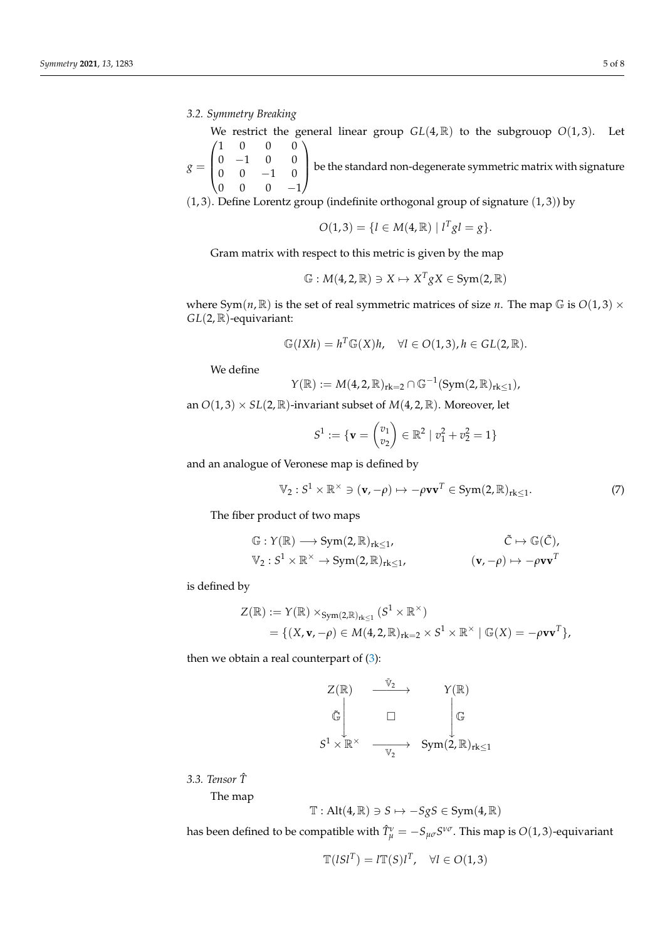*3.2. Symmetry Breaking*

We restrict the general linear group  $GL(4,\mathbb{R})$  to the subgrouop  $O(1,3)$ . Let  $\sqrt{ }$ 1 0 0 0  $\setminus$ 

 $g =$  $\overline{\mathcal{L}}$  $0 \t -1 \t 0 \t 0$  $0 \t 0 \t -1 \t 0$  $0 \t 0 \t -1$ be the standard non-degenerate symmetric matrix with signature

(1, 3). Define Lorentz group (indefinite orthogonal group of signature (1, 3)) by

$$
O(1,3) = \{ l \in M(4,\mathbb{R}) \mid l^T g l = g \}.
$$

Gram matrix with respect to this metric is given by the map

$$
\mathbb{G}: M(4,2,\mathbb{R})\ni X\mapsto X^TgX\in Sym(2,\mathbb{R})
$$

where Sym( $n$ ,  $\mathbb{R}$ ) is the set of real symmetric matrices of size  $n$ . The map  $\mathbb{G}$  is  $O(1,3) \times$ *GL*(2, R)-equivariant:

$$
\mathbb{G}(lXh) = h^T \mathbb{G}(X)h, \quad \forall l \in O(1,3), h \in GL(2,\mathbb{R}).
$$

We define

$$
Y(\mathbb{R}) := M(4,2,\mathbb{R})_{\mathrm{rk}=2} \cap \mathbb{G}^{-1}(\mathrm{Sym}(2,\mathbb{R})_{\mathrm{rk}\leq 1}),
$$

an  $O(1, 3) \times SL(2, \mathbb{R})$ -invariant subset of  $M(4, 2, \mathbb{R})$ . Moreover, let

$$
S^1 := \{ \mathbf{v} = \begin{pmatrix} v_1 \\ v_2 \end{pmatrix} \in \mathbb{R}^2 \mid v_1^2 + v_2^2 = 1 \}
$$

and an analogue of Veronese map is defined by

<span id="page-4-0"></span>
$$
\mathbb{V}_2: S^1 \times \mathbb{R}^\times \ni (\mathbf{v}, -\rho) \mapsto -\rho \mathbf{v} \mathbf{v}^T \in \text{Sym}(2, \mathbb{R})_{\text{rk}\leq 1}.
$$
 (7)

The fiber product of two maps

$$
\begin{aligned}\n\mathbb{G}: Y(\mathbb{R}) &\longrightarrow \text{Sym}(2, \mathbb{R})_{\text{rk}\leq 1}, & \tilde{C} &\mapsto \mathbb{G}(\tilde{C}), \\
\mathbb{V}_2: S^1 \times \mathbb{R}^\times &\to \text{Sym}(2, \mathbb{R})_{\text{rk}\leq 1}, & \quad (\mathbf{v}, -\rho) &\mapsto -\rho \mathbf{v} \mathbf{v}^T\n\end{aligned}
$$

is defined by

$$
Z(\mathbb{R}) := Y(\mathbb{R}) \times_{Sym(2,\mathbb{R})_{rk\leq 1}} (S^1 \times \mathbb{R}^{\times})
$$
  
= { (X, v, - $\rho$ )  $\in M(4, 2, \mathbb{R})_{rk=2} \times S^1 \times \mathbb{R}^{\times} | \mathbb{G}(X) = -\rho vv^T },$ 

then we obtain a real counterpart of  $(3)$ :

$$
\begin{array}{ccc}\nZ(\mathbb{R}) & \xrightarrow{\tilde{\mathbb{V}}_2} & Y(\mathbb{R}) \\
& \tilde{\mathbb{G}} & & \downarrow \mathbb{G} \\
S^1 \times \mathbb{R}^\times & \xrightarrow{\mathbb{V}_2} & \text{Sym}(2, \mathbb{R})_{\text{rk} \le 1}\n\end{array}
$$

*3.3. Tensor T*ˆ

The map

$$
\mathbb{T}: Alt(4,\mathbb{R}) \ni S \mapsto -SgS \in Sym(4,\mathbb{R})
$$

has been defined to be compatible with  $\hat{T}^{\nu}_{\mu} = -S_{\mu\sigma}S^{\nu\sigma}$ . This map is  $O(1,3)$ -equivariant

$$
\mathbb{T}(ISI^T) = I\mathbb{T}(S)I^T, \quad \forall l \in O(1,3)
$$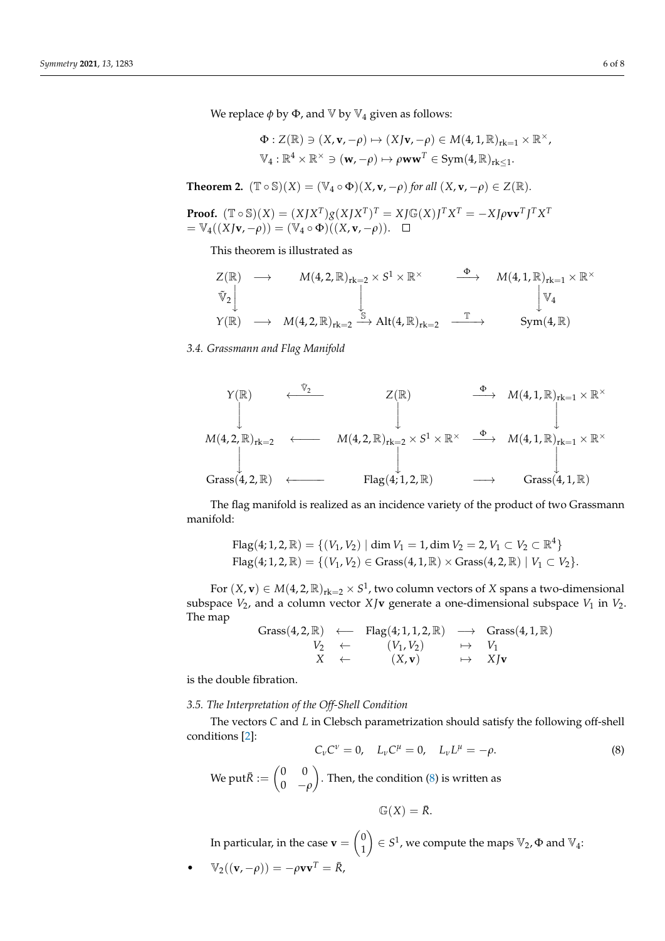We replace  $\phi$  by  $\Phi$ , and  $\mathbb{V}$  by  $\mathbb{V}_4$  given as follows:

$$
\Phi: Z(\mathbb{R}) \ni (X, \mathbf{v}, -\rho) \mapsto (XJ\mathbf{v}, -\rho) \in M(4, 1, \mathbb{R})_{\mathrm{rk}=1} \times \mathbb{R}^{\times},
$$
  

$$
\mathbb{V}_4: \mathbb{R}^4 \times \mathbb{R}^{\times} \ni (\mathbf{w}, -\rho) \mapsto \rho \mathbf{w} \mathbf{w}^T \in \mathrm{Sym}(4, \mathbb{R})_{\mathrm{rk}\leq 1}.
$$

**Theorem 2.**  $(\mathbb{T} \circ \mathbb{S})(X) = (\mathbb{V}_4 \circ \Phi)(X, \mathbf{v}, -\rho)$  *for all*  $(X, \mathbf{v}, -\rho) \in Z(\mathbb{R})$ *.* 

**Proof.**  $(\mathbb{T} \circ \mathbb{S})(X) = (XJX^{T})g(XJX^{T})^{T} = XJ\mathbb{G}(X)J^{T}X^{T} = -XJ\rho\mathbf{v}\mathbf{v}^{T}J^{T}X^{T}$  $= \mathbb{V}_4((XJv, -\rho)) = (\mathbb{V}_4 \circ \Phi)((X, v, -\rho)).$ 

This theorem is illustrated as

$$
Z(\mathbb{R}) \longrightarrow M(4,2,\mathbb{R})_{rk=2} \times S^1 \times \mathbb{R}^{\times} \longrightarrow M(4,1,\mathbb{R})_{rk=1} \times \mathbb{R}^{\times}
$$
  
\n
$$
\begin{array}{ccc}\n\tilde{\mathbb{V}}_2 \\
Y(\mathbb{R}) & \longrightarrow M(4,2,\mathbb{R})_{rk=2} \xrightarrow{\mathbb{S}} \text{Alt}(4,\mathbb{R})_{rk=2} & \xrightarrow{\mathbb{T}} & \text{Sym}(4,\mathbb{R})\n\end{array}
$$

*3.4. Grassmann and Flag Manifold*



The flag manifold is realized as an incidence variety of the product of two Grassmann manifold:

Flag(4; 1, 2, R) = {
$$
(V_1, V_2)
$$
 | dim  $V_1$  = 1, dim  $V_2$  = 2,  $V_1 \subset V_2 \subset \mathbb{R}^4$ }  
Flag(4; 1, 2, R) = { $(V_1, V_2)$  ∈ Grass(4, 1, R) × Grass(4, 2, R) |  $V_1 \subset V_2$  }.

For  $(X, \mathbf{v}) \in M(4, 2, \mathbb{R})_{\text{rk}=2} \times S^1$ , two column vectors of  $X$  spans a two-dimensional subspace  $V_2$ , and a column vector  $X$ **Jv** generate a one-dimensional subspace  $V_1$  in  $V_2$ . The map

$$
\begin{array}{rcl}\n\text{Grass}(4,2,\mathbb{R}) & \longleftarrow & \text{Flag}(4;1,1,2,\mathbb{R}) & \longrightarrow & \text{Grass}(4,1,\mathbb{R}) \\
\hspace{2.5cm}V_2 & \leftarrow & (V_1,V_2) & \mapsto & V_1 \\
 X & \leftarrow & (X,\mathbf{v}) & \mapsto & XJ\mathbf{v}\n\end{array}
$$

is the double fibration.

*3.5. The Interpretation of the Off-Shell Condition*

The vectors *C* and *L* in Clebsch parametrization should satisfy the following off-shell conditions [\[2\]](#page-6-3):

<span id="page-5-0"></span>
$$
C_{\nu}C^{\nu}=0, L_{\nu}C^{\mu}=0, L_{\nu}L^{\mu}=-\rho.
$$
 (8)

We put $\bar{R} := \begin{pmatrix} 0 & 0 \\ 0 & 0 \end{pmatrix}$ 0 −*ρ* . Then, the condition [\(8\)](#page-5-0) is written as

$$
\mathbb{G}(X) = \overline{R}.
$$

In particular, in the case  $\mathbf{v} = \begin{pmatrix} 0 & 0 \\ 1 & 1 \end{pmatrix}$ 1  $\left( \begin{array}{c} 0 \end{array} \right) \in S^1$ , we compute the maps  $\mathbb{V}_2$ ,  $\Phi$  and  $\mathbb{V}_4$ :

• 
$$
\mathbb{V}_2((\mathbf{v}, -\rho)) = -\rho \mathbf{v} \mathbf{v}^T = \bar{R},
$$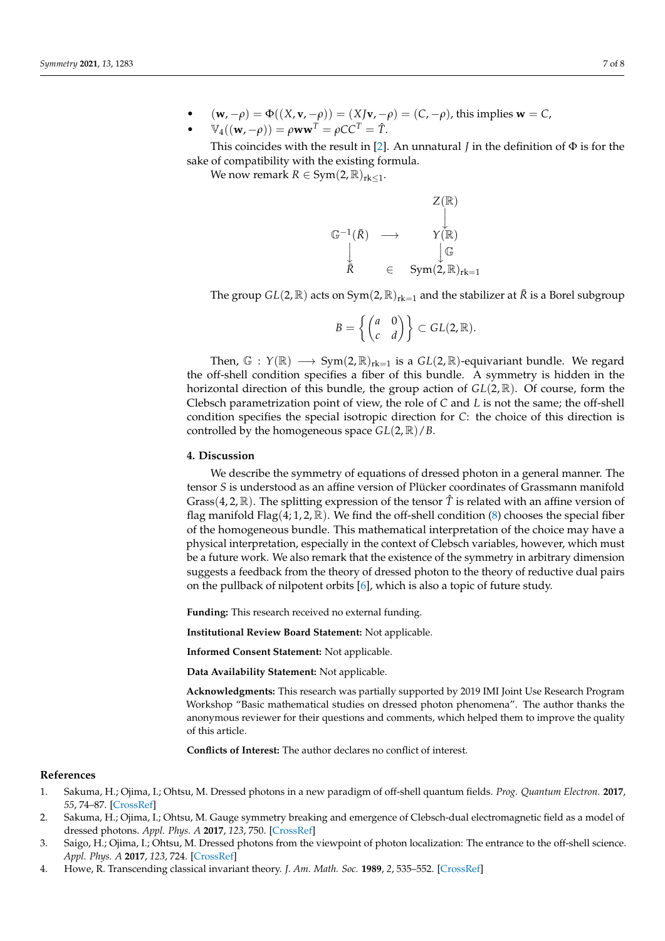• (**w**, −*ρ*) =  $\Phi((X, \mathbf{v}, -\rho)) = (XJ\mathbf{v}, -\rho) = (C, -\rho)$ , this implies **w** = *C*,

• 
$$
\mathbb{V}_4((\mathbf{w}, -\rho)) = \rho \mathbf{w} \mathbf{w}^T = \rho C C^T = \hat{T}.
$$

This coincides with the result in [\[2\]](#page-6-3). An unnatural *J* in the definition of  $\Phi$  is for the sake of compatibility with the existing formula.

We now remark  $R \in \text{Sym}(2, \mathbb{R})_{rk \leq 1}$ .

$$
\begin{array}{ccc}\n\mathbb{G}^{-1}(\bar{R}) & \longrightarrow & \mathbb{Y}(\mathbb{R}) \\
\downarrow & & \downarrow & \\
\downarrow & & \downarrow & \downarrow \\
\bar{R} & \in & \text{Sym}(2, \mathbb{R})_{\text{rk}=1}\n\end{array}
$$

The group  $GL(2,\mathbb{R})$  acts on  $Sym(2,\mathbb{R})_{rk=1}$  and the stabilizer at  $\overline{R}$  is a Borel subgroup

 $Z/m$ <sup>3</sup>

$$
B=\left\{\begin{pmatrix}a&0\\c&d\end{pmatrix}\right\}\subset GL(2,\mathbb{R}).
$$

Then,  $\mathbb{G}$  :  $Y(\mathbb{R}) \longrightarrow Sym(2,\mathbb{R})_{rk=1}$  is a  $GL(2,\mathbb{R})$ -equivariant bundle. We regard the off-shell condition specifies a fiber of this bundle. A symmetry is hidden in the horizontal direction of this bundle, the group action of *GL*(2, R). Of course, form the Clebsch parametrization point of view, the role of *C* and *L* is not the same; the off-shell condition specifies the special isotropic direction for *C*: the choice of this direction is controlled by the homogeneous space *GL*(2, R)/*B*.

# **4. Discussion**

We describe the symmetry of equations of dressed photon in a general manner. The tensor *S* is understood as an affine version of Plücker coordinates of Grassmann manifold Grass(4, 2,  $\mathbb{R}$ ). The splitting expression of the tensor  $\hat{T}$  is related with an affine version of flag manifold Flag(4; 1, 2,  $\mathbb{R}$ ). We find the off-shell condition [\(8\)](#page-5-0) chooses the special fiber of the homogeneous bundle. This mathematical interpretation of the choice may have a physical interpretation, especially in the context of Clebsch variables, however, which must be a future work. We also remark that the existence of the symmetry in arbitrary dimension suggests a feedback from the theory of dressed photon to the theory of reductive dual pairs on the pullback of nilpotent orbits [\[6\]](#page-7-1), which is also a topic of future study.

**Funding:** This research received no external funding.

**Institutional Review Board Statement:** Not applicable.

**Informed Consent Statement:** Not applicable.

**Data Availability Statement:** Not applicable.

**Acknowledgments:** This research was partially supported by 2019 IMI Joint Use Research Program Workshop "Basic mathematical studies on dressed photon phenomena". The author thanks the anonymous reviewer for their questions and comments, which helped them to improve the quality of this article.

**Conflicts of Interest:** The author declares no conflict of interest.

# **References**

- <span id="page-6-0"></span>1. Sakuma, H.; Ojima, I.; Ohtsu, M. Dressed photons in a new paradigm of off-shell quantum fields. *Prog. Quantum Electron.* **2017**, *55*, 74–87. [\[CrossRef\]](http://doi.org/10.1016/j.pquantelec.2017.07.006)
- <span id="page-6-3"></span>2. Sakuma, H.; Ojima, I.; Ohtsu, M. Gauge symmetry breaking and emergence of Clebsch-dual electromagnetic field as a model of dressed photons. *Appl. Phys. A* **2017**, *123*, 750. [\[CrossRef\]](http://dx.doi.org/10.1007/s00339-017-1364-9)
- <span id="page-6-1"></span>3. Saigo, H.; Ojima, I.; Ohtsu, M. Dressed photons from the viewpoint of photon localization: The entrance to the off-shell science. *Appl. Phys. A* **2017**, *123*, 724. [\[CrossRef\]](http://dx.doi.org/10.1007/s00339-017-1345-z)
- <span id="page-6-2"></span>4. Howe, R. Transcending classical invariant theory. *J. Am. Math. Soc.* **1989**, *2*, 535–552. [\[CrossRef\]](http://dx.doi.org/10.1090/S0894-0347-1989-0985172-6)